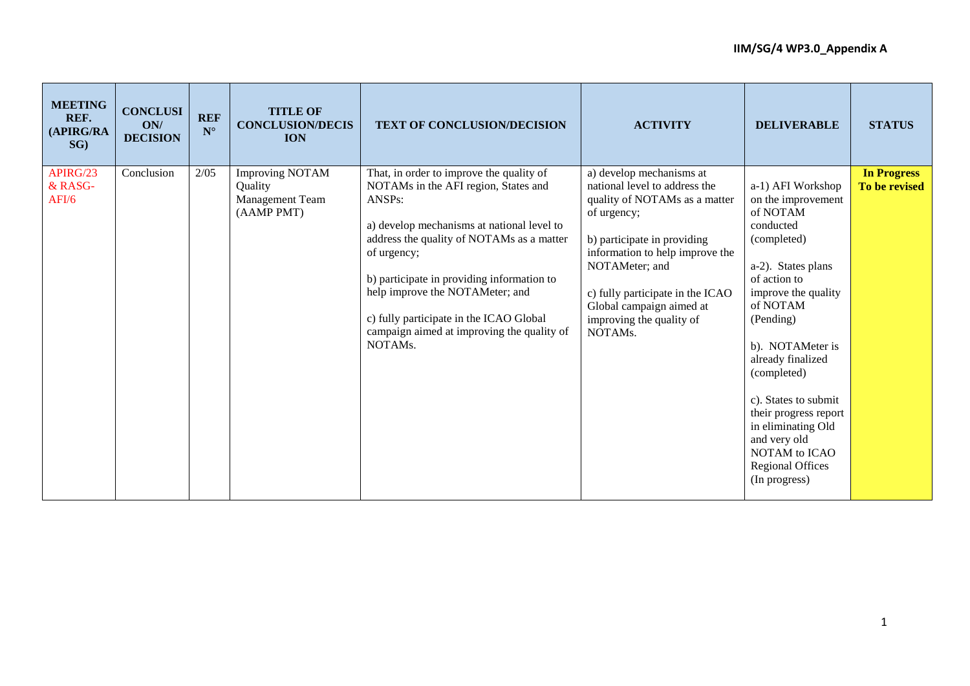| <b>MEETING</b><br>REF.<br>(APIRG/RA<br>$SG$ ) | <b>CONCLUSI</b><br>ON/<br><b>DECISION</b> | <b>REF</b><br>$N^{\circ}$ | <b>TITLE OF</b><br><b>CONCLUSION/DECIS</b><br><b>ION</b>           | <b>TEXT OF CONCLUSION/DECISION</b>                                                                                                                                                                                                                                                                                                                                                        | <b>ACTIVITY</b>                                                                                                                                                                                                                                                                                      | <b>DELIVERABLE</b>                                                                                                                                                                                                                                                                                                                                                                | <b>STATUS</b>                       |
|-----------------------------------------------|-------------------------------------------|---------------------------|--------------------------------------------------------------------|-------------------------------------------------------------------------------------------------------------------------------------------------------------------------------------------------------------------------------------------------------------------------------------------------------------------------------------------------------------------------------------------|------------------------------------------------------------------------------------------------------------------------------------------------------------------------------------------------------------------------------------------------------------------------------------------------------|-----------------------------------------------------------------------------------------------------------------------------------------------------------------------------------------------------------------------------------------------------------------------------------------------------------------------------------------------------------------------------------|-------------------------------------|
| APIRG/23<br>& RASG-<br>AFI/6                  | Conclusion                                | 2/05                      | <b>Improving NOTAM</b><br>Quality<br>Management Team<br>(AAMP PMT) | That, in order to improve the quality of<br>NOTAMs in the AFI region, States and<br>ANSPs:<br>a) develop mechanisms at national level to<br>address the quality of NOTAMs as a matter<br>of urgency;<br>b) participate in providing information to<br>help improve the NOTAMeter; and<br>c) fully participate in the ICAO Global<br>campaign aimed at improving the quality of<br>NOTAMs. | a) develop mechanisms at<br>national level to address the<br>quality of NOTAMs as a matter<br>of urgency;<br>b) participate in providing<br>information to help improve the<br>NOTAMeter; and<br>c) fully participate in the ICAO<br>Global campaign aimed at<br>improving the quality of<br>NOTAMs. | a-1) AFI Workshop<br>on the improvement<br>of NOTAM<br>conducted<br>(completed)<br>a-2). States plans<br>of action to<br>improve the quality<br>of NOTAM<br>(Pending)<br>b). NOTAMeter is<br>already finalized<br>(completed)<br>c). States to submit<br>their progress report<br>in eliminating Old<br>and very old<br>NOTAM to ICAO<br><b>Regional Offices</b><br>(In progress) | <b>In Progress</b><br>To be revised |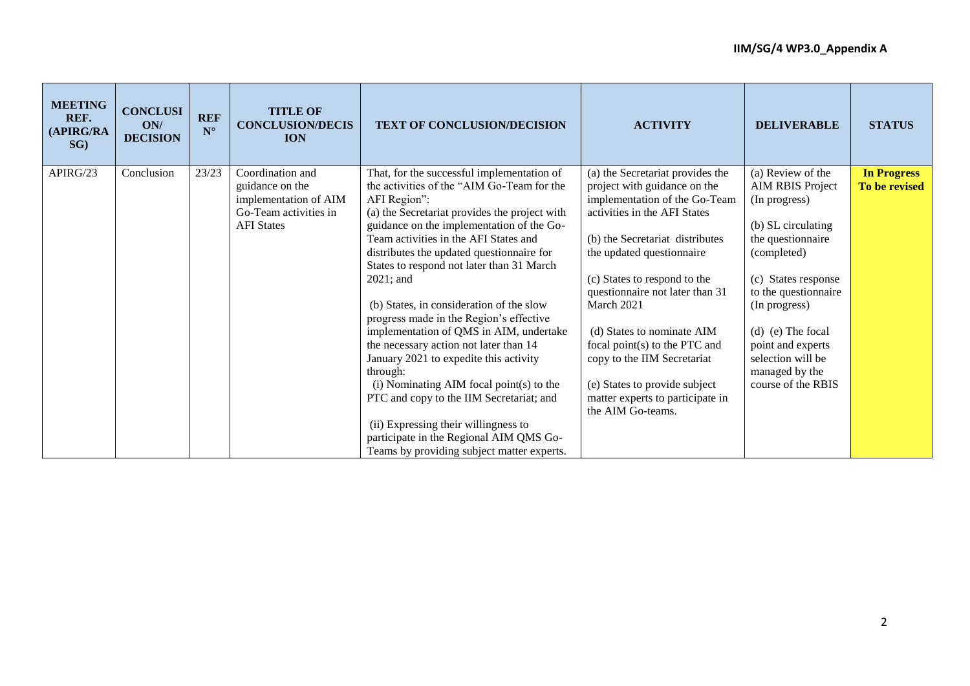| <b>MEETING</b><br>REF.<br>(APIRG/RA<br>$SG$ ) | <b>CONCLUSI</b><br>ON/<br><b>DECISION</b> | <b>REF</b><br>$N^{\circ}$ | <b>TITLE OF</b><br><b>CONCLUSION/DECIS</b><br><b>ION</b> | <b>TEXT OF CONCLUSION/DECISION</b>                   | <b>ACTIVITY</b>                                                   | <b>DELIVERABLE</b>                   | <b>STATUS</b>      |
|-----------------------------------------------|-------------------------------------------|---------------------------|----------------------------------------------------------|------------------------------------------------------|-------------------------------------------------------------------|--------------------------------------|--------------------|
| APIRG/23                                      | Conclusion                                | 23/23                     | Coordination and                                         | That, for the successful implementation of           | (a) the Secretariat provides the                                  | (a) Review of the                    | <b>In Progress</b> |
|                                               |                                           |                           | guidance on the                                          | the activities of the "AIM Go-Team for the           | project with guidance on the                                      | AIM RBIS Project                     | To be revised      |
|                                               |                                           |                           | implementation of AIM                                    | AFI Region":                                         | implementation of the Go-Team                                     | (In progress)                        |                    |
|                                               |                                           |                           | Go-Team activities in                                    | (a) the Secretariat provides the project with        | activities in the AFI States                                      |                                      |                    |
|                                               |                                           |                           | <b>AFI</b> States                                        | guidance on the implementation of the Go-            |                                                                   | (b) SL circulating                   |                    |
|                                               |                                           |                           |                                                          | Team activities in the AFI States and                | (b) the Secretariat distributes                                   | the questionnaire                    |                    |
|                                               |                                           |                           |                                                          | distributes the updated questionnaire for            | the updated questionnaire                                         | (completed)                          |                    |
|                                               |                                           |                           |                                                          | States to respond not later than 31 March            |                                                                   |                                      |                    |
|                                               |                                           |                           |                                                          | $2021$ ; and                                         | (c) States to respond to the                                      | (c) States response                  |                    |
|                                               |                                           |                           |                                                          |                                                      | questionnaire not later than 31                                   | to the questionnaire                 |                    |
|                                               |                                           |                           |                                                          | (b) States, in consideration of the slow             | March 2021                                                        | (In progress)                        |                    |
|                                               |                                           |                           |                                                          | progress made in the Region's effective              |                                                                   |                                      |                    |
|                                               |                                           |                           |                                                          | implementation of QMS in AIM, undertake              | (d) States to nominate AIM                                        | $(d)$ (e) The focal                  |                    |
|                                               |                                           |                           |                                                          | the necessary action not later than 14               | focal point(s) to the PTC and                                     | point and experts                    |                    |
|                                               |                                           |                           |                                                          | January 2021 to expedite this activity               | copy to the IIM Secretariat                                       | selection will be                    |                    |
|                                               |                                           |                           |                                                          | through:<br>(i) Nominating AIM focal point(s) to the |                                                                   | managed by the<br>course of the RBIS |                    |
|                                               |                                           |                           |                                                          | PTC and copy to the IIM Secretariat; and             | (e) States to provide subject<br>matter experts to participate in |                                      |                    |
|                                               |                                           |                           |                                                          |                                                      | the AIM Go-teams.                                                 |                                      |                    |
|                                               |                                           |                           |                                                          | (ii) Expressing their willingness to                 |                                                                   |                                      |                    |
|                                               |                                           |                           |                                                          | participate in the Regional AIM QMS Go-              |                                                                   |                                      |                    |
|                                               |                                           |                           |                                                          | Teams by providing subject matter experts.           |                                                                   |                                      |                    |